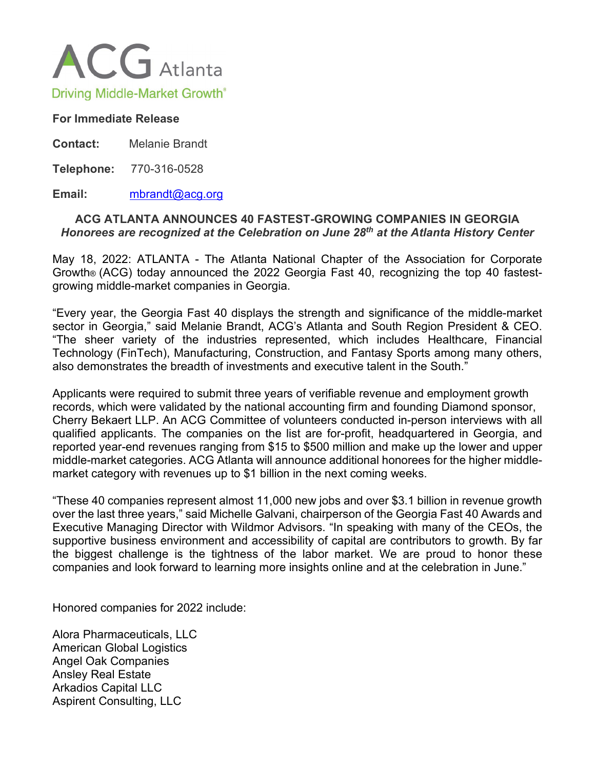

## **For Immediate Release**

**Contact:** Melanie Brandt

**Telephone:** 770-316-0528

## **Email:** [mbrandt@acg.org](mailto:gcinnamon@kilpatricktownsend.com)

## **ACG ATLANTA ANNOUNCES 40 FASTEST-GROWING COMPANIES IN GEORGIA** *Honorees are recognized at the Celebration on June 28th at the Atlanta History Center*

May 18, 2022: ATLANTA - The Atlanta National Chapter of the Association for Corporate Growth® (ACG) today announced the 2022 Georgia Fast 40, recognizing the top 40 fastestgrowing middle-market companies in Georgia.

"Every year, the Georgia Fast 40 displays the strength and significance of the middle-market sector in Georgia," said Melanie Brandt, ACG's Atlanta and South Region President & CEO. "The sheer variety of the industries represented, which includes Healthcare, Financial Technology (FinTech), Manufacturing, Construction, and Fantasy Sports among many others, also demonstrates the breadth of investments and executive talent in the South."

Applicants were required to submit three years of verifiable revenue and employment growth records, which were validated by the national accounting firm and founding Diamond sponsor, Cherry Bekaert LLP. An ACG Committee of volunteers conducted in-person interviews with all qualified applicants. The companies on the list are for-profit, headquartered in Georgia, and reported year-end revenues ranging from \$15 to \$500 million and make up the lower and upper middle-market categories. ACG Atlanta will announce additional honorees for the higher middlemarket category with revenues up to \$1 billion in the next coming weeks.

"These 40 companies represent almost 11,000 new jobs and over \$3.1 billion in revenue growth over the last three years," said Michelle Galvani, chairperson of the Georgia Fast 40 Awards and Executive Managing Director with Wildmor Advisors. "In speaking with many of the CEOs, the supportive business environment and accessibility of capital are contributors to growth. By far the biggest challenge is the tightness of the labor market. We are proud to honor these companies and look forward to learning more insights online and at the celebration in June."

Honored companies for 2022 include:

Alora Pharmaceuticals, LLC American Global Logistics Angel Oak Companies Ansley Real Estate Arkadios Capital LLC Aspirent Consulting, LLC